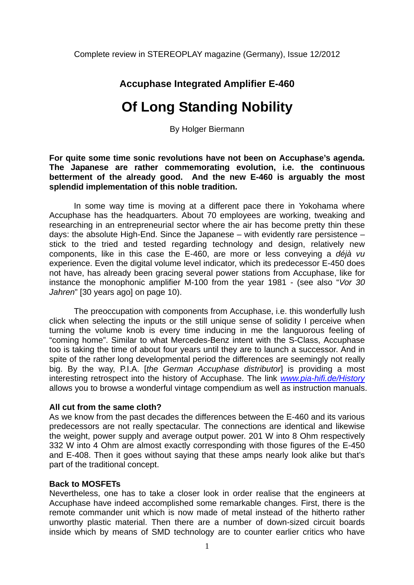# **Accuphase Integrated Amplifier E-460**

# **Of Long Standing Nobility**

By Holger Biermann

**For quite some time sonic revolutions have not been on Accuphase's agenda. The Japanese are rather commemorating evolution, i.e. the continuous betterment of the already good. And the new E-460 is arguably the most splendid implementation of this noble tradition.** 

In some way time is moving at a different pace there in Yokohama where Accuphase has the headquarters. About 70 employees are working, tweaking and researching in an entrepreneurial sector where the air has become pretty thin these days: the absolute High-End. Since the Japanese – with evidently rare persistence – stick to the tried and tested regarding technology and design, relatively new components, like in this case the E-460, are more or less conveying a *déjà vu* experience. Even the digital volume level indicator, which its predecessor E-450 does not have, has already been gracing several power stations from Accuphase, like for instance the monophonic amplifier M-100 from the year 1981 - (see also "*Vor 30 Jahren*" [30 years ago] on page 10).

The preoccupation with components from Accuphase, i.e. this wonderfully lush click when selecting the inputs or the still unique sense of solidity I perceive when turning the volume knob is every time inducing in me the languorous feeling of "coming home". Similar to what Mercedes-Benz intent with the S-Class, Accuphase too is taking the time of about four years until they are to launch a successor. And in spite of the rather long developmental period the differences are seemingly not really big. By the way, P.I.A. [*the German Accuphase distributor*] is providing a most interesting retrospect into the history of Accuphase. The link *www.pia-hifi.de/History* allows you to browse a wonderful vintage compendium as well as instruction manuals.

#### **All cut from the same cloth?**

As we know from the past decades the differences between the E-460 and its various predecessors are not really spectacular. The connections are identical and likewise the weight, power supply and average output power. 201 W into 8 Ohm respectively 332 W into 4 Ohm are almost exactly corresponding with those figures of the E-450 and E-408. Then it goes without saying that these amps nearly look alike but that's part of the traditional concept.

## **Back to MOSFETs**

Nevertheless, one has to take a closer look in order realise that the engineers at Accuphase have indeed accomplished some remarkable changes. First, there is the remote commander unit which is now made of metal instead of the hitherto rather unworthy plastic material. Then there are a number of down-sized circuit boards inside which by means of SMD technology are to counter earlier critics who have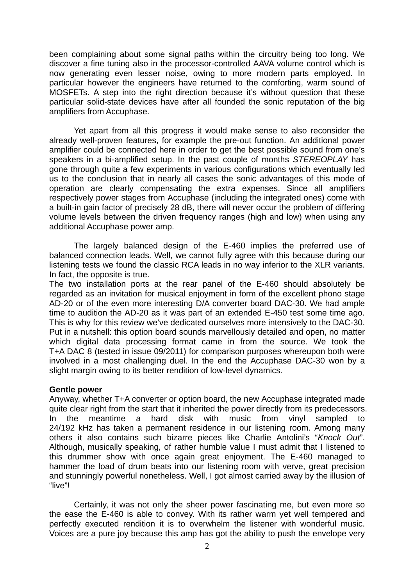been complaining about some signal paths within the circuitry being too long. We discover a fine tuning also in the processor-controlled AAVA volume control which is now generating even lesser noise, owing to more modern parts employed. In particular however the engineers have returned to the comforting, warm sound of MOSFETs. A step into the right direction because it's without question that these particular solid-state devices have after all founded the sonic reputation of the big amplifiers from Accuphase.

 Yet apart from all this progress it would make sense to also reconsider the already well-proven features, for example the pre-out function. An additional power amplifier could be connected here in order to get the best possible sound from one's speakers in a bi-amplified setup. In the past couple of months *STEREOPLAY* has gone through quite a few experiments in various configurations which eventually led us to the conclusion that in nearly all cases the sonic advantages of this mode of operation are clearly compensating the extra expenses. Since all amplifiers respectively power stages from Accuphase (including the integrated ones) come with a built-in gain factor of precisely 28 dB, there will never occur the problem of differing volume levels between the driven frequency ranges (high and low) when using any additional Accuphase power amp.

The largely balanced design of the E-460 implies the preferred use of balanced connection leads. Well, we cannot fully agree with this because during our listening tests we found the classic RCA leads in no way inferior to the XLR variants. In fact, the opposite is true.

The two installation ports at the rear panel of the E-460 should absolutely be regarded as an invitation for musical enjoyment in form of the excellent phono stage AD-20 or of the even more interesting D/A converter board DAC-30. We had ample time to audition the AD-20 as it was part of an extended E-450 test some time ago. This is why for this review we've dedicated ourselves more intensively to the DAC-30. Put in a nutshell: this option board sounds marvellously detailed and open, no matter which digital data processing format came in from the source. We took the T+A DAC 8 (tested in issue 09/2011) for comparison purposes whereupon both were involved in a most challenging duel. In the end the Accuphase DAC-30 won by a slight margin owing to its better rendition of low-level dynamics.

#### **Gentle power**

Anyway, whether T+A converter or option board, the new Accuphase integrated made quite clear right from the start that it inherited the power directly from its predecessors. In the meantime a hard disk with music from vinyl sampled to 24/192 kHz has taken a permanent residence in our listening room. Among many others it also contains such bizarre pieces like Charlie Antolini's "*Knock Out*". Although, musically speaking, of rather humble value I must admit that I listened to this drummer show with once again great enjoyment. The E-460 managed to hammer the load of drum beats into our listening room with verve, great precision and stunningly powerful nonetheless. Well, I got almost carried away by the illusion of "live"!

Certainly, it was not only the sheer power fascinating me, but even more so the ease the E-460 is able to convey. With its rather warm yet well tempered and perfectly executed rendition it is to overwhelm the listener with wonderful music. Voices are a pure joy because this amp has got the ability to push the envelope very